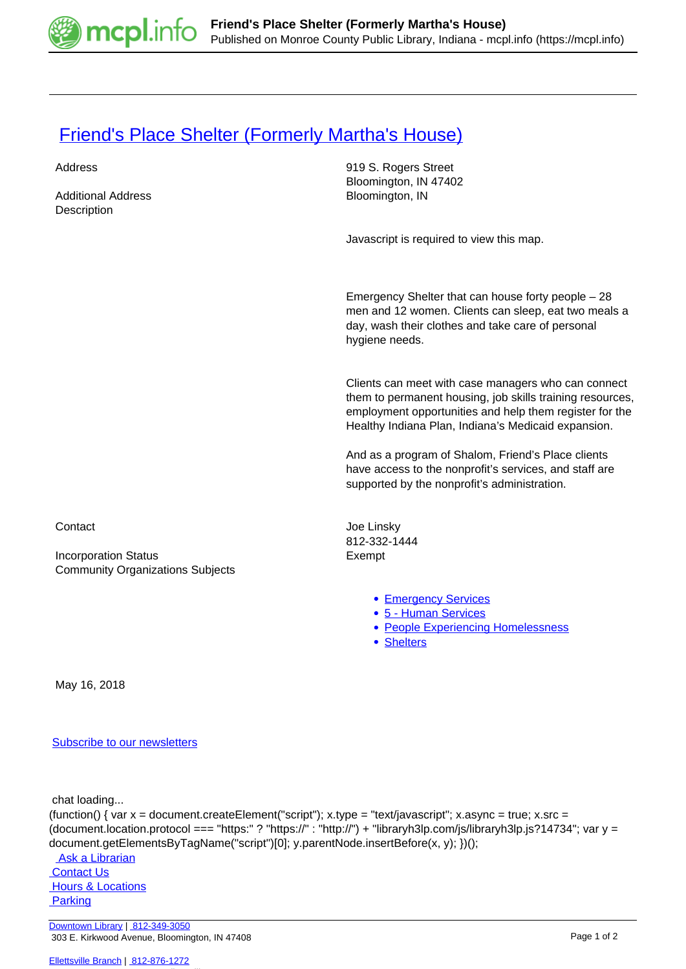

## **[Friend's Place Shelter \(Formerly Martha's House\)](https://mcpl.info/commorg/marthas-house)**

| Address<br><b>Additional Address</b><br>Description                    | 919 S. Rogers Street<br>Bloomington, IN 47402<br>Bloomington, IN                                                                                                                                                                   |
|------------------------------------------------------------------------|------------------------------------------------------------------------------------------------------------------------------------------------------------------------------------------------------------------------------------|
|                                                                        | Javascript is required to view this map.                                                                                                                                                                                           |
|                                                                        | Emergency Shelter that can house forty people $-28$<br>men and 12 women. Clients can sleep, eat two meals a<br>day, wash their clothes and take care of personal<br>hygiene needs.                                                 |
|                                                                        | Clients can meet with case managers who can connect<br>them to permanent housing, job skills training resources,<br>employment opportunities and help them register for the<br>Healthy Indiana Plan, Indiana's Medicaid expansion. |
|                                                                        | And as a program of Shalom, Friend's Place clients<br>have access to the nonprofit's services, and staff are<br>supported by the nonprofit's administration.                                                                       |
| Contact                                                                | Joe Linsky<br>812-332-1444                                                                                                                                                                                                         |
| <b>Incorporation Status</b><br><b>Community Organizations Subjects</b> | Exempt                                                                                                                                                                                                                             |
|                                                                        | • Emergency Services<br>• 5 - Human Services<br>• People Experiencing Homelessness<br>• Shelters                                                                                                                                   |
| May 16, 2018                                                           |                                                                                                                                                                                                                                    |

[Subscribe to our newsletters](https://mcpl.info/geninfo/subscribe-think-library-newsletter)

chat loading...

(function() { var  $x =$  document.createElement("script");  $x.$ type = "text/javascript";  $x.$ async = true;  $x.$ src = (document.location.protocol === "https:" ? "https://" : "http://") + "libraryh3lp.com/js/libraryh3lp.js?14734"; var y = document.getElementsByTagName("script")[0]; y.parentNode.insertBefore(x, y); })();

Ask a Librarian  [Contact Us](https://mcpl.info/geninfo/contact-us) **Hours & Locations Parking**